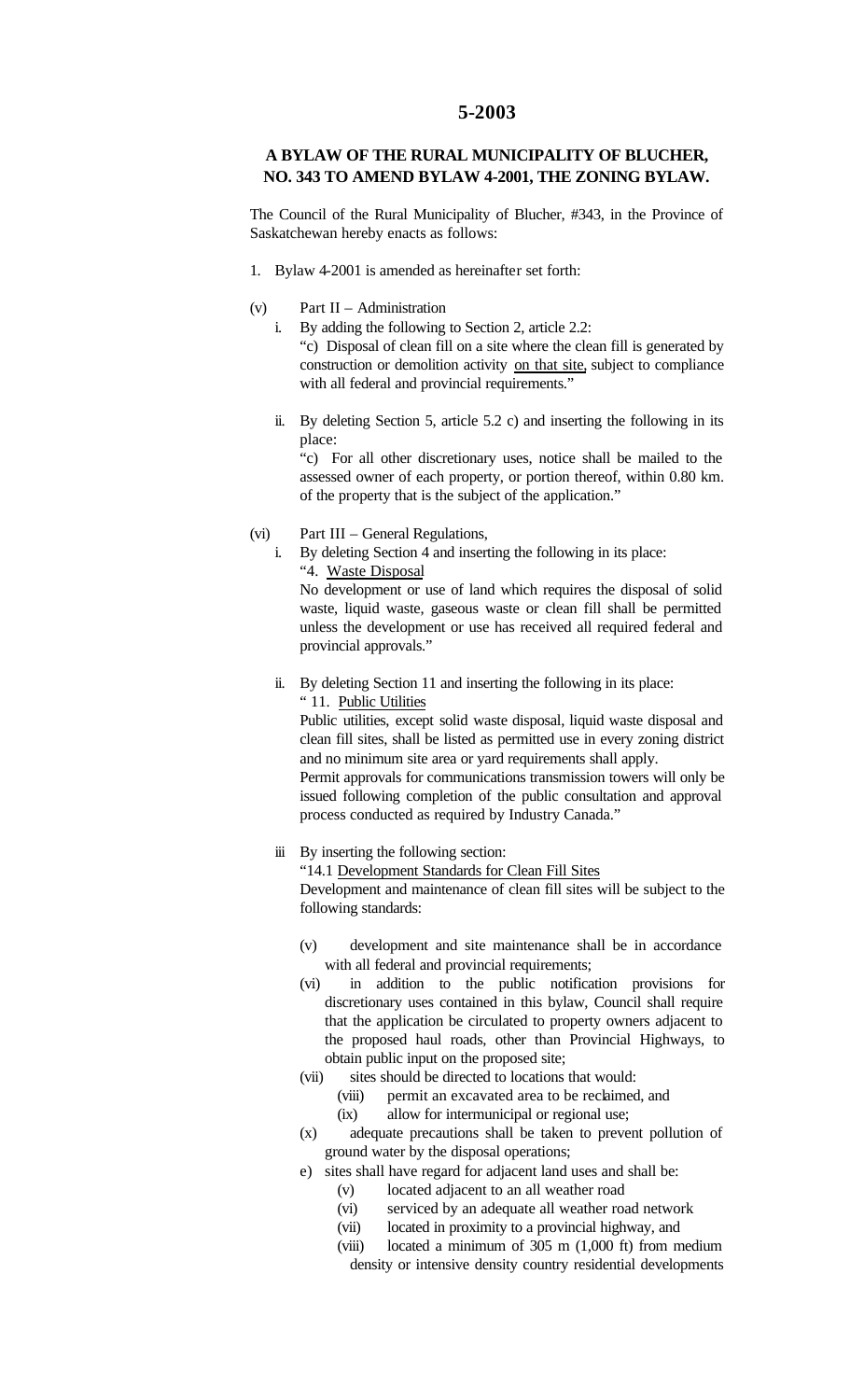## **5-2003**

## **A BYLAW OF THE RURAL MUNICIPALITY OF BLUCHER, NO. 343 TO AMEND BYLAW 4-2001, THE ZONING BYLAW.**

The Council of the Rural Municipality of Blucher, #343, in the Province of Saskatchewan hereby enacts as follows:

- 1. Bylaw 4-2001 is amended as hereinafter set forth:
- (v) Part II Administration
	- i. By adding the following to Section 2, article 2.2: "c) Disposal of clean fill on a site where the clean fill is generated by construction or demolition activity on that site, subject to compliance with all federal and provincial requirements."
	- ii. By deleting Section 5, article 5.2 c) and inserting the following in its place:

"c) For all other discretionary uses, notice shall be mailed to the assessed owner of each property, or portion thereof, within 0.80 km. of the property that is the subject of the application."

## (vi) Part III – General Regulations,

i. By deleting Section 4 and inserting the following in its place: "4. Waste Disposal

No development or use of land which requires the disposal of solid waste, liquid waste, gaseous waste or clean fill shall be permitted unless the development or use has received all required federal and provincial approvals."

ii. By deleting Section 11 and inserting the following in its place: " 11. Public Utilities

Public utilities, except solid waste disposal, liquid waste disposal and clean fill sites, shall be listed as permitted use in every zoning district and no minimum site area or yard requirements shall apply.

Permit approvals for communications transmission towers will only be issued following completion of the public consultation and approval process conducted as required by Industry Canada."

## iii By inserting the following section:

"14.1 Development Standards for Clean Fill Sites

Development and maintenance of clean fill sites will be subject to the following standards:

- (v) development and site maintenance shall be in accordance with all federal and provincial requirements;
- (vi) in addition to the public notification provisions for discretionary uses contained in this bylaw, Council shall require that the application be circulated to property owners adjacent to the proposed haul roads, other than Provincial Highways, to obtain public input on the proposed site;
- (vii) sites should be directed to locations that would:
	- (viii) permit an excavated area to be reclaimed, and
		- (ix) allow for intermunicipal or regional use;
- (x) adequate precautions shall be taken to prevent pollution of ground water by the disposal operations;
- e) sites shall have regard for adjacent land uses and shall be:
	- (v) located adjacent to an all weather road
	- (vi) serviced by an adequate all weather road network
	- (vii) located in proximity to a provincial highway, and
	- (viii) located a minimum of 305 m (1,000 ft) from medium density or intensive density country residential developments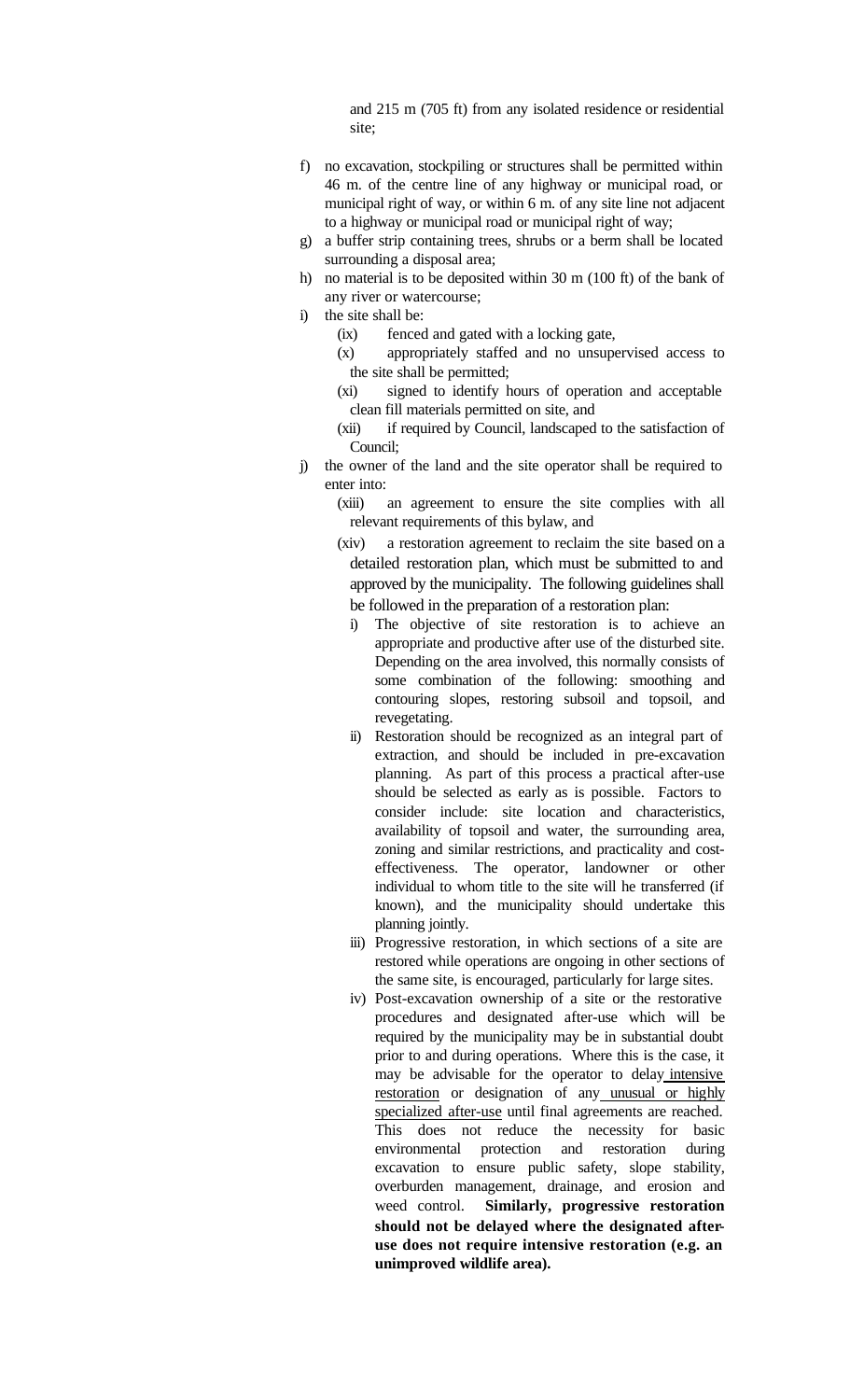and 215 m (705 ft) from any isolated residence or residential site;

- f) no excavation, stockpiling or structures shall be permitted within 46 m. of the centre line of any highway or municipal road, or municipal right of way, or within 6 m. of any site line not adjacent to a highway or municipal road or municipal right of way;
- g) a buffer strip containing trees, shrubs or a berm shall be located surrounding a disposal area;
- h) no material is to be deposited within 30 m (100 ft) of the bank of any river or watercourse;
- i) the site shall be:
	- (ix) fenced and gated with a locking gate,
	- (x) appropriately staffed and no unsupervised access to the site shall be permitted;
	- (xi) signed to identify hours of operation and acceptable clean fill materials permitted on site, and
	- (xii) if required by Council, landscaped to the satisfaction of Council;
- j) the owner of the land and the site operator shall be required to enter into:

(xiii) an agreement to ensure the site complies with all relevant requirements of this bylaw, and

- (xiv) a restoration agreement to reclaim the site based on a detailed restoration plan, which must be submitted to and approved by the municipality. The following guidelines shall be followed in the preparation of a restoration plan:
	- i) The objective of site restoration is to achieve an appropriate and productive after use of the disturbed site. Depending on the area involved, this normally consists of some combination of the following: smoothing and contouring slopes, restoring subsoil and topsoil, and revegetating.
	- ii) Restoration should be recognized as an integral part of extraction, and should be included in pre-excavation planning. As part of this process a practical after-use should be selected as early as is possible. Factors to consider include: site location and characteristics, availability of topsoil and water, the surrounding area, zoning and similar restrictions, and practicality and costeffectiveness. The operator, landowner or other individual to whom title to the site will he transferred (if known), and the municipality should undertake this planning jointly.
	- iii) Progressive restoration, in which sections of a site are restored while operations are ongoing in other sections of the same site, is encouraged, particularly for large sites.
	- iv) Post-excavation ownership of a site or the restorative procedures and designated after-use which will be required by the municipality may be in substantial doubt prior to and during operations. Where this is the case, it may be advisable for the operator to delay intensive restoration or designation of any unusual or highly specialized after-use until final agreements are reached. This does not reduce the necessity for basic environmental protection and restoration during excavation to ensure public safety, slope stability, overburden management, drainage, and erosion and weed control. **Similarly, progressive restoration should not be delayed where the designated afteruse does not require intensive restoration (e.g. an unimproved wildlife area).**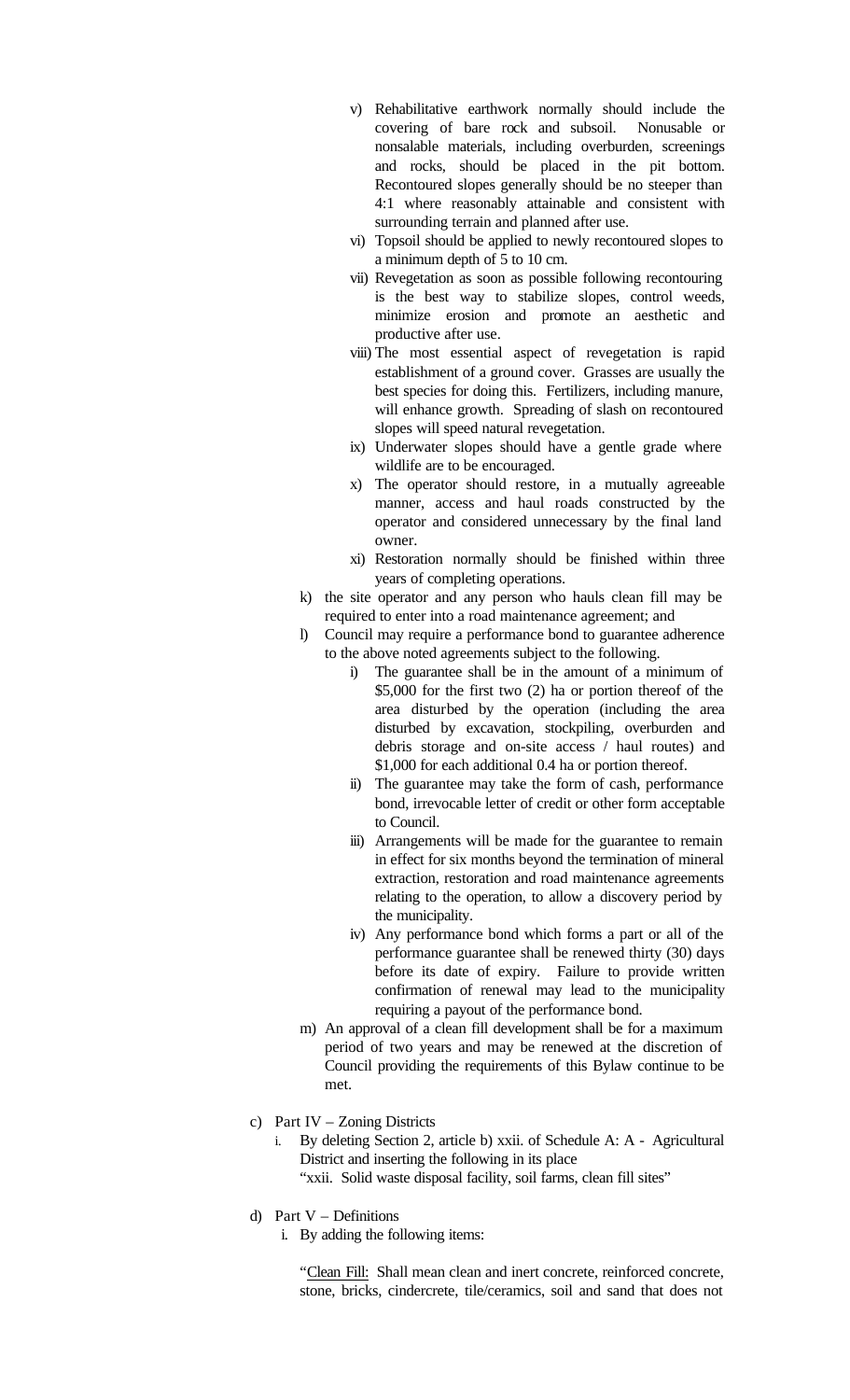- v) Rehabilitative earthwork normally should include the covering of bare rock and subsoil. Nonusable or nonsalable materials, including overburden, screenings and rocks, should be placed in the pit bottom. Recontoured slopes generally should be no steeper than 4:1 where reasonably attainable and consistent with surrounding terrain and planned after use.
- vi) Topsoil should be applied to newly recontoured slopes to a minimum depth of 5 to 10 cm.
- vii) Revegetation as soon as possible following recontouring is the best way to stabilize slopes, control weeds, minimize erosion and promote an aesthetic and productive after use.
- viii) The most essential aspect of revegetation is rapid establishment of a ground cover. Grasses are usually the best species for doing this. Fertilizers, including manure, will enhance growth. Spreading of slash on recontoured slopes will speed natural revegetation.
- ix) Underwater slopes should have a gentle grade where wildlife are to be encouraged.
- x) The operator should restore, in a mutually agreeable manner, access and haul roads constructed by the operator and considered unnecessary by the final land owner.
- xi) Restoration normally should be finished within three years of completing operations.
- k) the site operator and any person who hauls clean fill may be required to enter into a road maintenance agreement; and
- l) Council may require a performance bond to guarantee adherence to the above noted agreements subject to the following.
	- i) The guarantee shall be in the amount of a minimum of \$5,000 for the first two (2) ha or portion thereof of the area disturbed by the operation (including the area disturbed by excavation, stockpiling, overburden and debris storage and on-site access / haul routes) and \$1,000 for each additional 0.4 ha or portion thereof.
	- ii) The guarantee may take the form of cash, performance bond, irrevocable letter of credit or other form acceptable to Council.
	- iii) Arrangements will be made for the guarantee to remain in effect for six months beyond the termination of mineral extraction, restoration and road maintenance agreements relating to the operation, to allow a discovery period by the municipality.
	- iv) Any performance bond which forms a part or all of the performance guarantee shall be renewed thirty (30) days before its date of expiry. Failure to provide written confirmation of renewal may lead to the municipality requiring a payout of the performance bond.
- m) An approval of a clean fill development shall be for a maximum period of two years and may be renewed at the discretion of Council providing the requirements of this Bylaw continue to be met.
- c) Part IV Zoning Districts
	- i. By deleting Section 2, article b) xxii. of Schedule A: A Agricultural District and inserting the following in its place
		- "xxii. Solid waste disposal facility, soil farms, clean fill sites"
- d) Part V Definitions
	- i. By adding the following items:

"Clean Fill: Shall mean clean and inert concrete, reinforced concrete, stone, bricks, cindercrete, tile/ceramics, soil and sand that does not